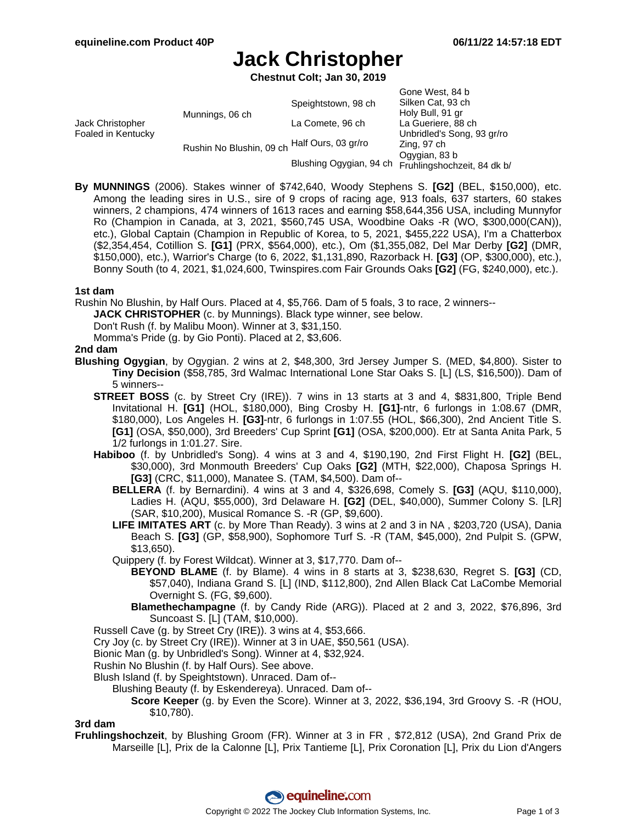# **Jack Christopher**

**Chestnut Colt; Jan 30, 2019**

| Jack Christopher<br>Foaled in Kentucky | Munnings, 06 ch          | Speightstown, 98 ch     | Gone West, 84 b<br>Silken Cat, 93 ch<br>Holy Bull, 91 gr |
|----------------------------------------|--------------------------|-------------------------|----------------------------------------------------------|
|                                        |                          | La Comete, 96 ch        | La Gueriere, 88 ch                                       |
|                                        | Rushin No Blushin, 09 ch |                         | Unbridled's Song, 93 gr/ro                               |
|                                        |                          | Half Ours, 03 gr/ro     | Zing, 97 ch                                              |
|                                        |                          | Blushing Ogygian, 94 ch | Ogygian, 83 b<br>Fruhlingshochzeit, 84 dk b/             |
|                                        |                          |                         |                                                          |

**By MUNNINGS** (2006). Stakes winner of \$742,640, Woody Stephens S. **[G2]** (BEL, \$150,000), etc. Among the leading sires in U.S., sire of 9 crops of racing age, 913 foals, 637 starters, 60 stakes winners, 2 champions, 474 winners of 1613 races and earning \$58,644,356 USA, including Munnyfor Ro (Champion in Canada, at 3, 2021, \$560,745 USA, Woodbine Oaks -R (WO, \$300,000(CAN)), etc.), Global Captain (Champion in Republic of Korea, to 5, 2021, \$455,222 USA), I'm a Chatterbox (\$2,354,454, Cotillion S. **[G1]** (PRX, \$564,000), etc.), Om (\$1,355,082, Del Mar Derby **[G2]** (DMR, \$150,000), etc.), Warrior's Charge (to 6, 2022, \$1,131,890, Razorback H. **[G3]** (OP, \$300,000), etc.), Bonny South (to 4, 2021, \$1,024,600, Twinspires.com Fair Grounds Oaks **[G2]** (FG, \$240,000), etc.).

#### **1st dam**

Rushin No Blushin, by Half Ours. Placed at 4, \$5,766. Dam of 5 foals, 3 to race, 2 winners--

**JACK CHRISTOPHER** (c. by Munnings). Black type winner, see below.

Don't Rush (f. by Malibu Moon). Winner at 3, \$31,150.

Momma's Pride (g. by Gio Ponti). Placed at 2, \$3,606.

#### **2nd dam**

- **Blushing Ogygian**, by Ogygian. 2 wins at 2, \$48,300, 3rd Jersey Jumper S. (MED, \$4,800). Sister to **Tiny Decision** (\$58,785, 3rd Walmac International Lone Star Oaks S. [L] (LS, \$16,500)). Dam of 5 winners--
	- **STREET BOSS** (c. by Street Cry (IRE)). 7 wins in 13 starts at 3 and 4, \$831,800, Triple Bend Invitational H. **[G1]** (HOL, \$180,000), Bing Crosby H. **[G1]**-ntr, 6 furlongs in 1:08.67 (DMR, \$180,000), Los Angeles H. **[G3]**-ntr, 6 furlongs in 1:07.55 (HOL, \$66,300), 2nd Ancient Title S. **[G1]** (OSA, \$50,000), 3rd Breeders' Cup Sprint **[G1]** (OSA, \$200,000). Etr at Santa Anita Park, 5 1/2 furlongs in 1:01.27. Sire.
	- **Habiboo** (f. by Unbridled's Song). 4 wins at 3 and 4, \$190,190, 2nd First Flight H. **[G2]** (BEL, \$30,000), 3rd Monmouth Breeders' Cup Oaks **[G2]** (MTH, \$22,000), Chaposa Springs H. **[G3]** (CRC, \$11,000), Manatee S. (TAM, \$4,500). Dam of--
		- **BELLERA** (f. by Bernardini). 4 wins at 3 and 4, \$326,698, Comely S. **[G3]** (AQU, \$110,000), Ladies H. (AQU, \$55,000), 3rd Delaware H. **[G2]** (DEL, \$40,000), Summer Colony S. [LR] (SAR, \$10,200), Musical Romance S. -R (GP, \$9,600).
		- **LIFE IMITATES ART** (c. by More Than Ready). 3 wins at 2 and 3 in NA , \$203,720 (USA), Dania Beach S. **[G3]** (GP, \$58,900), Sophomore Turf S. -R (TAM, \$45,000), 2nd Pulpit S. (GPW, \$13,650).
		- Quippery (f. by Forest Wildcat). Winner at 3, \$17,770. Dam of--
			- **BEYOND BLAME** (f. by Blame). 4 wins in 8 starts at 3, \$238,630, Regret S. **[G3]** (CD, \$57,040), Indiana Grand S. [L] (IND, \$112,800), 2nd Allen Black Cat LaCombe Memorial Overnight S. (FG, \$9,600).
			- **Blamethechampagne** (f. by Candy Ride (ARG)). Placed at 2 and 3, 2022, \$76,896, 3rd Suncoast S. [L] (TAM, \$10,000).
	- Russell Cave (g. by Street Cry (IRE)). 3 wins at 4, \$53,666.
	- Cry Joy (c. by Street Cry (IRE)). Winner at 3 in UAE, \$50,561 (USA).
	- Bionic Man (g. by Unbridled's Song). Winner at 4, \$32,924.
	- Rushin No Blushin (f. by Half Ours). See above.
	- Blush Island (f. by Speightstown). Unraced. Dam of--
		- Blushing Beauty (f. by Eskendereya). Unraced. Dam of--
			- **Score Keeper** (g. by Even the Score). Winner at 3, 2022, \$36,194, 3rd Groovy S. -R (HOU, \$10,780).

#### **3rd dam**

**Fruhlingshochzeit**, by Blushing Groom (FR). Winner at 3 in FR , \$72,812 (USA), 2nd Grand Prix de Marseille [L], Prix de la Calonne [L], Prix Tantieme [L], Prix Coronation [L], Prix du Lion d'Angers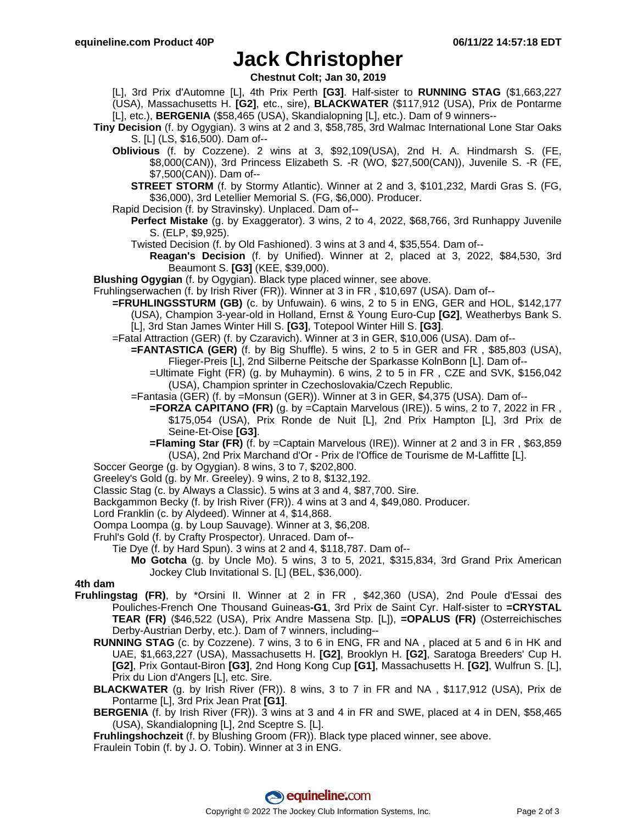### **Jack Christopher**

**Chestnut Colt; Jan 30, 2019**

- [L], 3rd Prix d'Automne [L], 4th Prix Perth **[G3]**. Half-sister to **RUNNING STAG** (\$1,663,227 (USA), Massachusetts H. **[G2]**, etc., sire), **BLACKWATER** (\$117,912 (USA), Prix de Pontarme [L], etc.), **BERGENIA** (\$58,465 (USA), Skandialopning [L], etc.). Dam of 9 winners--
- **Tiny Decision** (f. by Ogygian). 3 wins at 2 and 3, \$58,785, 3rd Walmac International Lone Star Oaks S. [L] (LS, \$16,500). Dam of--
	- **Oblivious** (f. by Cozzene). 2 wins at 3, \$92,109(USA), 2nd H. A. Hindmarsh S. (FE, \$8,000(CAN)), 3rd Princess Elizabeth S. -R (WO, \$27,500(CAN)), Juvenile S. -R (FE, \$7,500(CAN)). Dam of--

**STREET STORM** (f. by Stormy Atlantic). Winner at 2 and 3, \$101,232, Mardi Gras S. (FG, \$36,000), 3rd Letellier Memorial S. (FG, \$6,000). Producer.

- Rapid Decision (f. by Stravinsky). Unplaced. Dam of--
	- **Perfect Mistake** (g. by Exaggerator). 3 wins, 2 to 4, 2022, \$68,766, 3rd Runhappy Juvenile S. (ELP, \$9,925).
	- Twisted Decision (f. by Old Fashioned). 3 wins at 3 and 4, \$35,554. Dam of--
		- **Reagan's Decision** (f. by Unified). Winner at 2, placed at 3, 2022, \$84,530, 3rd Beaumont S. **[G3]** (KEE, \$39,000).
- **Blushing Ogygian** (f. by Ogygian). Black type placed winner, see above.
- Fruhlingserwachen (f. by Irish River (FR)). Winner at 3 in FR , \$10,697 (USA). Dam of--
	- **=FRUHLINGSSTURM (GB)** (c. by Unfuwain). 6 wins, 2 to 5 in ENG, GER and HOL, \$142,177 (USA), Champion 3-year-old in Holland, Ernst & Young Euro-Cup **[G2]**, Weatherbys Bank S. [L], 3rd Stan James Winter Hill S. **[G3]**, Totepool Winter Hill S. **[G3]**.
	- =Fatal Attraction (GER) (f. by Czaravich). Winner at 3 in GER, \$10,006 (USA). Dam of--
		- **=FANTASTICA (GER)** (f. by Big Shuffle). 5 wins, 2 to 5 in GER and FR , \$85,803 (USA), Flieger-Preis [L], 2nd Silberne Peitsche der Sparkasse KolnBonn [L]. Dam of--
			- =Ultimate Fight (FR) (g. by Muhaymin). 6 wins, 2 to 5 in FR , CZE and SVK, \$156,042 (USA), Champion sprinter in Czechoslovakia/Czech Republic.
		- =Fantasia (GER) (f. by =Monsun (GER)). Winner at 3 in GER, \$4,375 (USA). Dam of--
			- **=FORZA CAPITANO (FR)** (g. by =Captain Marvelous (IRE)). 5 wins, 2 to 7, 2022 in FR, \$175,054 (USA), Prix Ronde de Nuit [L], 2nd Prix Hampton [L], 3rd Prix de Seine-Et-Oise **[G3]**.
			- **=Flaming Star (FR)** (f. by =Captain Marvelous (IRE)). Winner at 2 and 3 in FR , \$63,859 (USA), 2nd Prix Marchand d'Or - Prix de l'Office de Tourisme de M-Laffitte [L].
- Soccer George (g. by Ogygian). 8 wins, 3 to 7, \$202,800.
- Greeley's Gold (g. by Mr. Greeley). 9 wins, 2 to 8, \$132,192.
- Classic Stag (c. by Always a Classic). 5 wins at 3 and 4, \$87,700. Sire.
- Backgammon Becky (f. by Irish River (FR)). 4 wins at 3 and 4, \$49,080. Producer.
- Lord Franklin (c. by Alydeed). Winner at 4, \$14,868.
- Oompa Loompa (g. by Loup Sauvage). Winner at 3, \$6,208.
- Fruhl's Gold (f. by Crafty Prospector). Unraced. Dam of--
	- Tie Dye (f. by Hard Spun). 3 wins at 2 and 4, \$118,787. Dam of--
		- **Mo Gotcha** (g. by Uncle Mo). 5 wins, 3 to 5, 2021, \$315,834, 3rd Grand Prix American Jockey Club Invitational S. [L] (BEL, \$36,000).

#### **4th dam**

- **Fruhlingstag (FR)**, by \*Orsini II. Winner at 2 in FR , \$42,360 (USA), 2nd Poule d'Essai des Pouliches-French One Thousand Guineas**-G1**, 3rd Prix de Saint Cyr. Half-sister to **=CRYSTAL TEAR (FR)** (\$46,522 (USA), Prix Andre Massena Stp. [L]), **=OPALUS (FR)** (Osterreichisches Derby-Austrian Derby, etc.). Dam of 7 winners, including--
	- **RUNNING STAG** (c. by Cozzene). 7 wins, 3 to 6 in ENG, FR and NA , placed at 5 and 6 in HK and UAE, \$1,663,227 (USA), Massachusetts H. **[G2]**, Brooklyn H. **[G2]**, Saratoga Breeders' Cup H. **[G2]**, Prix Gontaut-Biron **[G3]**, 2nd Hong Kong Cup **[G1]**, Massachusetts H. **[G2]**, Wulfrun S. [L], Prix du Lion d'Angers [L], etc. Sire.
	- **BLACKWATER** (g. by Irish River (FR)). 8 wins, 3 to 7 in FR and NA , \$117,912 (USA), Prix de Pontarme [L], 3rd Prix Jean Prat **[G1]**.
	- **BERGENIA** (f. by Irish River (FR)). 3 wins at 3 and 4 in FR and SWE, placed at 4 in DEN, \$58,465 (USA), Skandialopning [L], 2nd Sceptre S. [L].
	- **Fruhlingshochzeit** (f. by Blushing Groom (FR)). Black type placed winner, see above.
	- Fraulein Tobin (f. by J. O. Tobin). Winner at 3 in ENG.